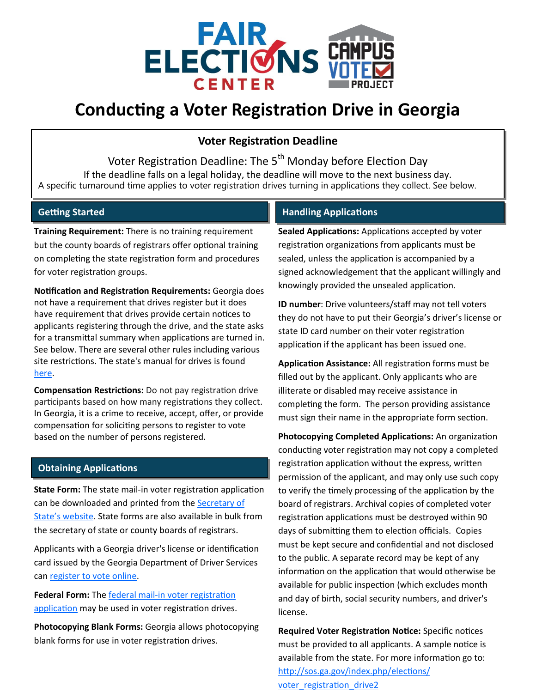

# **Conducting a Voter Registration Drive in Georgia**

## **Voter Registration Deadline**

Voter Registration Deadline: The 5<sup>th</sup> Monday before Election Day If the deadline falls on a legal holiday, the deadline will move to the next business day. A specific turnaround time applies to voter registration drives turning in applications they collect. See below.

#### **Getting Started**

**Training Requirement:** There is no training requirement but the county boards of registrars offer optional training on completing the state registration form and procedures for voter registration groups.

**Notification and Registration Requirements:** Georgia does not have a requirement that drives register but it does have requirement that drives provide certain notices to applicants registering through the drive, and the state asks for a transmittal summary when applications are turned in. See below. There are several other rules including various site restrictions. The state's manual for drives is found [here.](https://sos.ga.gov/admin/files/Voter%20Registration%20Rules%20and%20Procedures%20Manual%20-%202020.pdf)

**Compensation Restrictions:** Do not pay registration drive participants based on how many registrations they collect. In Georgia, it is a crime to receive, accept, offer, or provide compensation for soliciting persons to register to vote based on the number of persons registered.

#### **Obtaining Applications**

**State Form:** The state mail-in voter registration application can be downloaded and printed from the Secretary of State'[s website.](http://sos.ga.gov/index.php/Elections/register_to_vote) State forms are also available in bulk from the secretary of state or county boards of registrars.

Applicants with a Georgia driver's license or identification card issued by the Georgia Department of Driver Services can [register to vote online.](https://registertovote.sos.ga.gov/GAOLVR/#no-back-button)

**Federal Form:** The federal mail-[in voter registration](https://www.eac.gov/voters/national-mail-voter-registration-form/)  [application](https://www.eac.gov/voters/national-mail-voter-registration-form/) may be used in voter registration drives.

**Photocopying Blank Forms:** Georgia allows photocopying blank forms for use in voter registration drives.

### **Handling Applications**

**Sealed Applications:** Applications accepted by voter registration organizations from applicants must be sealed, unless the application is accompanied by a signed acknowledgement that the applicant willingly and knowingly provided the unsealed application.

**ID number**: Drive volunteers/staff may not tell voters they do not have to put their Georgia's driver's license or state ID card number on their voter registration application if the applicant has been issued one.

**Application Assistance:** All registration forms must be filled out by the applicant. Only applicants who are illiterate or disabled may receive assistance in completing the form. The person providing assistance must sign their name in the appropriate form section.

**Photocopying Completed Applications:** An organization conducting voter registration may not copy a completed registration application without the express, written permission of the applicant, and may only use such copy to verify the timely processing of the application by the board of registrars. Archival copies of completed voter registration applications must be destroyed within 90 days of submitting them to election officials. Copies must be kept secure and confidential and not disclosed to the public. A separate record may be kept of any information on the application that would otherwise be available for public inspection (which excludes month and day of birth, social security numbers, and driver's license.

**Required Voter Registration Notice:** Specific notices must be provided to all applicants. A sample notice is available from the state. For more information go to: [http://sos.ga.gov/index.php/elections/](http://sos.ga.gov/index.php/elections/voter_registration_drive2) voter registration drive2